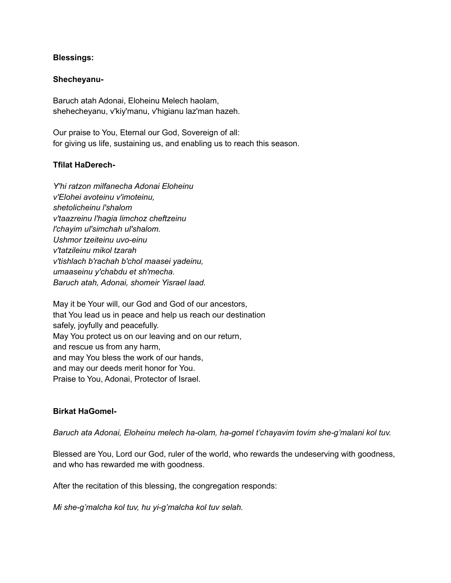### **Blessings:**

### **Shecheyanu-**

Baruch atah Adonai, Eloheinu Melech haolam, shehecheyanu, v'kiy'manu, v'higianu laz'man hazeh.

Our praise to You, Eternal our God, Sovereign of all: for giving us life, sustaining us, and enabling us to reach this season.

### **Tfilat HaDerech-**

*Y'hi ratzon milfanecha Adonai Eloheinu v'Elohei avoteinu v'imoteinu, shetolicheinu l'shalom v'taazreinu l'hagia limchoz cheftzeinu l'chayim ul'simchah ul'shalom. Ushmor tzeiteinu uvo-einu v'tatzileinu mikol tzarah v'tishlach b'rachah b'chol maasei yadeinu, umaaseinu y'chabdu et sh'mecha. Baruch atah, Adonai, shomeir Yisrael laad.*

May it be Your will, our God and God of our ancestors, that You lead us in peace and help us reach our destination safely, joyfully and peacefully. May You protect us on our leaving and on our return, and rescue us from any harm, and may You bless the work of our hands, and may our deeds merit honor for You. Praise to You, Adonai, Protector of Israel.

## **Birkat HaGomel-**

*Baruch ata Adonai, Eloheinu melech ha-olam, ha-gomel t'chayavim tovim she-g'malani kol tuv.*

Blessed are You, Lord our God, ruler of the world, who rewards the undeserving with goodness, and who has rewarded me with goodness.

After the recitation of this blessing, the congregation responds:

*Mi she-g'malcha kol tuv, hu yi-g'malcha kol tuv selah.*